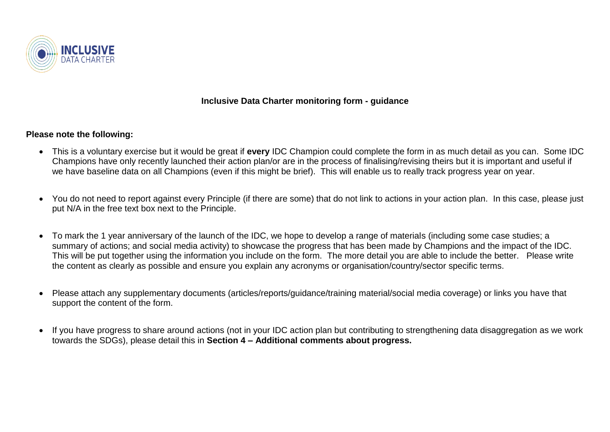

## **Inclusive Data Charter monitoring form - guidance**

## **Please note the following:**

- This is a voluntary exercise but it would be great if **every** IDC Champion could complete the form in as much detail as you can. Some IDC Champions have only recently launched their action plan/or are in the process of finalising/revising theirs but it is important and useful if we have baseline data on all Champions (even if this might be brief). This will enable us to really track progress year on year.
- You do not need to report against every Principle (if there are some) that do not link to actions in your action plan. In this case, please just put N/A in the free text box next to the Principle.
- To mark the 1 year anniversary of the launch of the IDC, we hope to develop a range of materials (including some case studies; a summary of actions; and social media activity) to showcase the progress that has been made by Champions and the impact of the IDC. This will be put together using the information you include on the form. The more detail you are able to include the better. Please write the content as clearly as possible and ensure you explain any acronyms or organisation/country/sector specific terms.
- Please attach any supplementary documents (articles/reports/guidance/training material/social media coverage) or links you have that support the content of the form.
- If you have progress to share around actions (not in your IDC action plan but contributing to strengthening data disaggregation as we work towards the SDGs), please detail this in **Section 4 – Additional comments about progress.**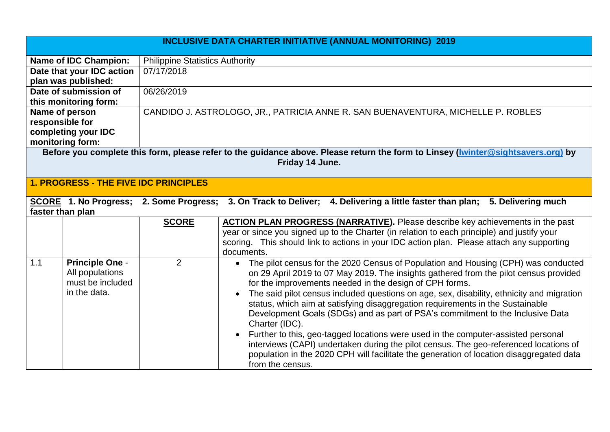|                                                                                                                                  | <b>INCLUSIVE DATA CHARTER INITIATIVE (ANNUAL MONITORING) 2019</b>             |                                        |                                                                                                                                                                                                                                                                                                                                                                                                                                                                                                                                                                                                                                                                                                                                                                                                                           |  |
|----------------------------------------------------------------------------------------------------------------------------------|-------------------------------------------------------------------------------|----------------------------------------|---------------------------------------------------------------------------------------------------------------------------------------------------------------------------------------------------------------------------------------------------------------------------------------------------------------------------------------------------------------------------------------------------------------------------------------------------------------------------------------------------------------------------------------------------------------------------------------------------------------------------------------------------------------------------------------------------------------------------------------------------------------------------------------------------------------------------|--|
| <b>Name of IDC Champion:</b>                                                                                                     |                                                                               | <b>Philippine Statistics Authority</b> |                                                                                                                                                                                                                                                                                                                                                                                                                                                                                                                                                                                                                                                                                                                                                                                                                           |  |
|                                                                                                                                  | Date that your IDC action                                                     | 07/17/2018                             |                                                                                                                                                                                                                                                                                                                                                                                                                                                                                                                                                                                                                                                                                                                                                                                                                           |  |
|                                                                                                                                  | plan was published:                                                           |                                        |                                                                                                                                                                                                                                                                                                                                                                                                                                                                                                                                                                                                                                                                                                                                                                                                                           |  |
|                                                                                                                                  | Date of submission of                                                         | 06/26/2019                             |                                                                                                                                                                                                                                                                                                                                                                                                                                                                                                                                                                                                                                                                                                                                                                                                                           |  |
|                                                                                                                                  | this monitoring form:                                                         |                                        |                                                                                                                                                                                                                                                                                                                                                                                                                                                                                                                                                                                                                                                                                                                                                                                                                           |  |
|                                                                                                                                  | Name of person                                                                |                                        | CANDIDO J. ASTROLOGO, JR., PATRICIA ANNE R. SAN BUENAVENTURA, MICHELLE P. ROBLES                                                                                                                                                                                                                                                                                                                                                                                                                                                                                                                                                                                                                                                                                                                                          |  |
| responsible for                                                                                                                  |                                                                               |                                        |                                                                                                                                                                                                                                                                                                                                                                                                                                                                                                                                                                                                                                                                                                                                                                                                                           |  |
|                                                                                                                                  | completing your IDC                                                           |                                        |                                                                                                                                                                                                                                                                                                                                                                                                                                                                                                                                                                                                                                                                                                                                                                                                                           |  |
|                                                                                                                                  | monitoring form:                                                              |                                        |                                                                                                                                                                                                                                                                                                                                                                                                                                                                                                                                                                                                                                                                                                                                                                                                                           |  |
| Before you complete this form, please refer to the guidance above. Please return the form to Linsey (Iwinter@sightsavers.org) by |                                                                               |                                        | Friday 14 June.                                                                                                                                                                                                                                                                                                                                                                                                                                                                                                                                                                                                                                                                                                                                                                                                           |  |
|                                                                                                                                  |                                                                               |                                        |                                                                                                                                                                                                                                                                                                                                                                                                                                                                                                                                                                                                                                                                                                                                                                                                                           |  |
|                                                                                                                                  | <b>1. PROGRESS - THE FIVE IDC PRINCIPLES</b>                                  |                                        |                                                                                                                                                                                                                                                                                                                                                                                                                                                                                                                                                                                                                                                                                                                                                                                                                           |  |
|                                                                                                                                  |                                                                               |                                        | SCORE 1. No Progress; 2. Some Progress; 3. On Track to Deliver; 4. Delivering a little faster than plan;<br>5. Delivering much                                                                                                                                                                                                                                                                                                                                                                                                                                                                                                                                                                                                                                                                                            |  |
| faster than plan                                                                                                                 |                                                                               |                                        |                                                                                                                                                                                                                                                                                                                                                                                                                                                                                                                                                                                                                                                                                                                                                                                                                           |  |
|                                                                                                                                  |                                                                               | <b>SCORE</b>                           | <b>ACTION PLAN PROGRESS (NARRATIVE).</b> Please describe key achievements in the past                                                                                                                                                                                                                                                                                                                                                                                                                                                                                                                                                                                                                                                                                                                                     |  |
|                                                                                                                                  |                                                                               |                                        | year or since you signed up to the Charter (in relation to each principle) and justify your                                                                                                                                                                                                                                                                                                                                                                                                                                                                                                                                                                                                                                                                                                                               |  |
|                                                                                                                                  |                                                                               |                                        | scoring. This should link to actions in your IDC action plan. Please attach any supporting                                                                                                                                                                                                                                                                                                                                                                                                                                                                                                                                                                                                                                                                                                                                |  |
|                                                                                                                                  |                                                                               |                                        | documents.                                                                                                                                                                                                                                                                                                                                                                                                                                                                                                                                                                                                                                                                                                                                                                                                                |  |
| 1.1                                                                                                                              | <b>Principle One -</b><br>All populations<br>must be included<br>in the data. | 2                                      | • The pilot census for the 2020 Census of Population and Housing (CPH) was conducted<br>on 29 April 2019 to 07 May 2019. The insights gathered from the pilot census provided<br>for the improvements needed in the design of CPH forms.<br>The said pilot census included questions on age, sex, disability, ethnicity and migration<br>status, which aim at satisfying disaggregation requirements in the Sustainable<br>Development Goals (SDGs) and as part of PSA's commitment to the Inclusive Data<br>Charter (IDC).<br>Further to this, geo-tagged locations were used in the computer-assisted personal<br>interviews (CAPI) undertaken during the pilot census. The geo-referenced locations of<br>population in the 2020 CPH will facilitate the generation of location disaggregated data<br>from the census. |  |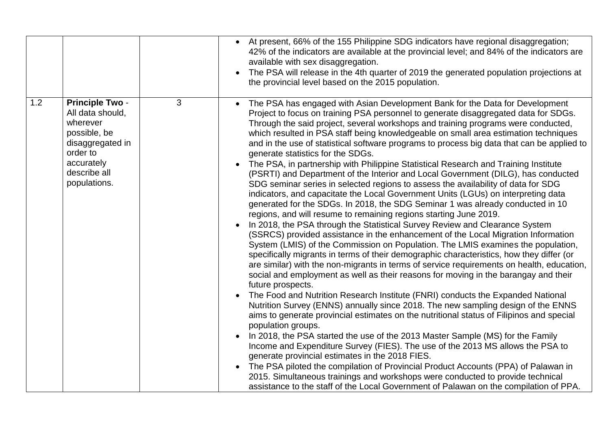|     |                                                                                                                                                      |   | • At present, 66% of the 155 Philippine SDG indicators have regional disaggregation;<br>42% of the indicators are available at the provincial level; and 84% of the indicators are<br>available with sex disaggregation.<br>The PSA will release in the 4th quarter of 2019 the generated population projections at<br>the provincial level based on the 2015 population.                                                                                                                                                                                                                                                                                                                                                                                                                                                                                                                                                                                                                                                                                                                                                                                                                                                                                                                                                                                                                                                                                                                                                                                                                                                                                                                                                                                                                                                                                                                                                                                                                                                                                                                                                                                                                                                                                                                                                                     |
|-----|------------------------------------------------------------------------------------------------------------------------------------------------------|---|-----------------------------------------------------------------------------------------------------------------------------------------------------------------------------------------------------------------------------------------------------------------------------------------------------------------------------------------------------------------------------------------------------------------------------------------------------------------------------------------------------------------------------------------------------------------------------------------------------------------------------------------------------------------------------------------------------------------------------------------------------------------------------------------------------------------------------------------------------------------------------------------------------------------------------------------------------------------------------------------------------------------------------------------------------------------------------------------------------------------------------------------------------------------------------------------------------------------------------------------------------------------------------------------------------------------------------------------------------------------------------------------------------------------------------------------------------------------------------------------------------------------------------------------------------------------------------------------------------------------------------------------------------------------------------------------------------------------------------------------------------------------------------------------------------------------------------------------------------------------------------------------------------------------------------------------------------------------------------------------------------------------------------------------------------------------------------------------------------------------------------------------------------------------------------------------------------------------------------------------------------------------------------------------------------------------------------------------------|
| 1.2 | <b>Principle Two -</b><br>All data should,<br>wherever<br>possible, be<br>disaggregated in<br>order to<br>accurately<br>describe all<br>populations. | 3 | The PSA has engaged with Asian Development Bank for the Data for Development<br>Project to focus on training PSA personnel to generate disaggregated data for SDGs.<br>Through the said project, several workshops and training programs were conducted,<br>which resulted in PSA staff being knowledgeable on small area estimation techniques<br>and in the use of statistical software programs to process big data that can be applied to<br>generate statistics for the SDGs.<br>The PSA, in partnership with Philippine Statistical Research and Training Institute<br>(PSRTI) and Department of the Interior and Local Government (DILG), has conducted<br>SDG seminar series in selected regions to assess the availability of data for SDG<br>indicators, and capacitate the Local Government Units (LGUs) on interpreting data<br>generated for the SDGs. In 2018, the SDG Seminar 1 was already conducted in 10<br>regions, and will resume to remaining regions starting June 2019.<br>In 2018, the PSA through the Statistical Survey Review and Clearance System<br>(SSRCS) provided assistance in the enhancement of the Local Migration Information<br>System (LMIS) of the Commission on Population. The LMIS examines the population,<br>specifically migrants in terms of their demographic characteristics, how they differ (or<br>are similar) with the non-migrants in terms of service requirements on health, education,<br>social and employment as well as their reasons for moving in the barangay and their<br>future prospects.<br>The Food and Nutrition Research Institute (FNRI) conducts the Expanded National<br>Nutrition Survey (ENNS) annually since 2018. The new sampling design of the ENNS<br>aims to generate provincial estimates on the nutritional status of Filipinos and special<br>population groups.<br>In 2018, the PSA started the use of the 2013 Master Sample (MS) for the Family<br>Income and Expenditure Survey (FIES). The use of the 2013 MS allows the PSA to<br>generate provincial estimates in the 2018 FIES.<br>The PSA piloted the compilation of Provincial Product Accounts (PPA) of Palawan in<br>2015. Simultaneous trainings and workshops were conducted to provide technical<br>assistance to the staff of the Local Government of Palawan on the compilation of PPA. |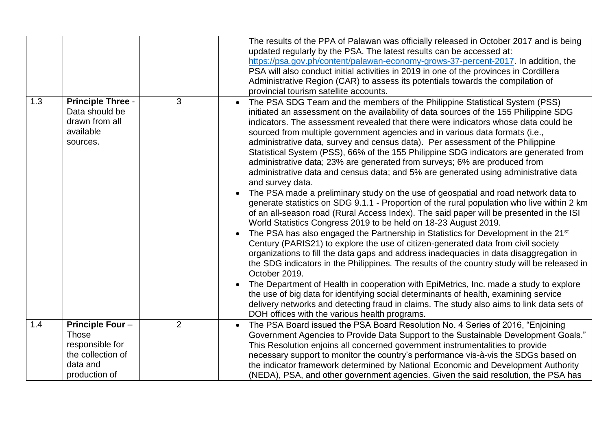|     |                                            |                | The results of the PPA of Palawan was officially released in October 2017 and is being<br>updated regularly by the PSA. The latest results can be accessed at:                      |
|-----|--------------------------------------------|----------------|-------------------------------------------------------------------------------------------------------------------------------------------------------------------------------------|
|     |                                            |                | https://psa.gov.ph/content/palawan-economy-grows-37-percent-2017. In addition, the                                                                                                  |
|     |                                            |                | PSA will also conduct initial activities in 2019 in one of the provinces in Cordillera                                                                                              |
|     |                                            |                | Administrative Region (CAR) to assess its potentials towards the compilation of                                                                                                     |
|     |                                            |                | provincial tourism satellite accounts.                                                                                                                                              |
| 1.3 | <b>Principle Three -</b><br>Data should be | 3              | The PSA SDG Team and the members of the Philippine Statistical System (PSS)<br>initiated an assessment on the availability of data sources of the 155 Philippine SDG                |
|     | drawn from all                             |                | indicators. The assessment revealed that there were indicators whose data could be                                                                                                  |
|     | available<br>sources.                      |                | sourced from multiple government agencies and in various data formats (i.e.,<br>administrative data, survey and census data). Per assessment of the Philippine                      |
|     |                                            |                | Statistical System (PSS), 66% of the 155 Philippine SDG indicators are generated from                                                                                               |
|     |                                            |                | administrative data; 23% are generated from surveys; 6% are produced from                                                                                                           |
|     |                                            |                | administrative data and census data; and 5% are generated using administrative data                                                                                                 |
|     |                                            |                | and survey data.                                                                                                                                                                    |
|     |                                            |                | The PSA made a preliminary study on the use of geospatial and road network data to                                                                                                  |
|     |                                            |                | generate statistics on SDG 9.1.1 - Proportion of the rural population who live within 2 km                                                                                          |
|     |                                            |                | of an all-season road (Rural Access Index). The said paper will be presented in the ISI                                                                                             |
|     |                                            |                | World Statistics Congress 2019 to be held on 18-23 August 2019.                                                                                                                     |
|     |                                            |                | The PSA has also engaged the Partnership in Statistics for Development in the 21 <sup>st</sup><br>Century (PARIS21) to explore the use of citizen-generated data from civil society |
|     |                                            |                | organizations to fill the data gaps and address inadequacies in data disaggregation in                                                                                              |
|     |                                            |                | the SDG indicators in the Philippines. The results of the country study will be released in                                                                                         |
|     |                                            |                | October 2019.                                                                                                                                                                       |
|     |                                            |                | The Department of Health in cooperation with EpiMetrics, Inc. made a study to explore                                                                                               |
|     |                                            |                | the use of big data for identifying social determinants of health, examining service                                                                                                |
|     |                                            |                | delivery networks and detecting fraud in claims. The study also aims to link data sets of                                                                                           |
|     |                                            |                | DOH offices with the various health programs.                                                                                                                                       |
| 1.4 | <b>Principle Four-</b>                     | $\overline{2}$ | The PSA Board issued the PSA Board Resolution No. 4 Series of 2016, "Enjoining                                                                                                      |
|     | Those                                      |                | Government Agencies to Provide Data Support to the Sustainable Development Goals."                                                                                                  |
|     | responsible for                            |                | This Resolution enjoins all concerned government instrumentalities to provide                                                                                                       |
|     | the collection of                          |                | necessary support to monitor the country's performance vis-à-vis the SDGs based on                                                                                                  |
|     | data and                                   |                | the indicator framework determined by National Economic and Development Authority                                                                                                   |
|     | production of                              |                | (NEDA), PSA, and other government agencies. Given the said resolution, the PSA has                                                                                                  |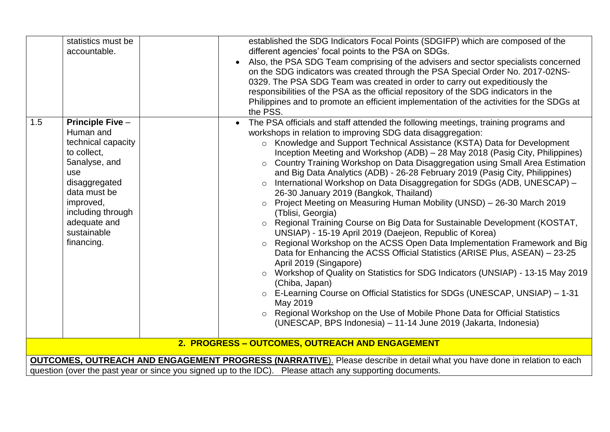| statistics must be<br>accountable.                                                                                                                                                                                       | established the SDG Indicators Focal Points (SDGIFP) which are composed of the<br>different agencies' focal points to the PSA on SDGs.<br>Also, the PSA SDG Team comprising of the advisers and sector specialists concerned<br>on the SDG indicators was created through the PSA Special Order No. 2017-02NS-<br>0329. The PSA SDG Team was created in order to carry out expeditiously the<br>responsibilities of the PSA as the official repository of the SDG indicators in the<br>Philippines and to promote an efficient implementation of the activities for the SDGs at<br>the PSS.                                                                                                                                                                                                                                                                                                                                                                                                                                                                                                                                                                                                                                                                                                                                                                                                                                              |  |  |
|--------------------------------------------------------------------------------------------------------------------------------------------------------------------------------------------------------------------------|------------------------------------------------------------------------------------------------------------------------------------------------------------------------------------------------------------------------------------------------------------------------------------------------------------------------------------------------------------------------------------------------------------------------------------------------------------------------------------------------------------------------------------------------------------------------------------------------------------------------------------------------------------------------------------------------------------------------------------------------------------------------------------------------------------------------------------------------------------------------------------------------------------------------------------------------------------------------------------------------------------------------------------------------------------------------------------------------------------------------------------------------------------------------------------------------------------------------------------------------------------------------------------------------------------------------------------------------------------------------------------------------------------------------------------------|--|--|
| 1.5<br><b>Principle Five -</b><br>Human and<br>technical capacity<br>to collect,<br>5analyse, and<br>use<br>disaggregated<br>data must be<br>improved,<br>including through<br>adequate and<br>sustainable<br>financing. | The PSA officials and staff attended the following meetings, training programs and<br>workshops in relation to improving SDG data disaggregation:<br>o Knowledge and Support Technical Assistance (KSTA) Data for Development<br>Inception Meeting and Workshop (ADB) – 28 May 2018 (Pasig City, Philippines)<br>Country Training Workshop on Data Disaggregation using Small Area Estimation<br>$\circ$<br>and Big Data Analytics (ADB) - 26-28 February 2019 (Pasig City, Philippines)<br>International Workshop on Data Disaggregation for SDGs (ADB, UNESCAP) -<br>$\circ$<br>26-30 January 2019 (Bangkok, Thailand)<br>Project Meeting on Measuring Human Mobility (UNSD) - 26-30 March 2019<br>$\circ$<br>(Tblisi, Georgia)<br>o Regional Training Course on Big Data for Sustainable Development (KOSTAT,<br>UNSIAP) - 15-19 April 2019 (Daejeon, Republic of Korea)<br>Regional Workshop on the ACSS Open Data Implementation Framework and Big<br>$\circ$<br>Data for Enhancing the ACSS Official Statistics (ARISE Plus, ASEAN) - 23-25<br>April 2019 (Singapore)<br>o Workshop of Quality on Statistics for SDG Indicators (UNSIAP) - 13-15 May 2019<br>(Chiba, Japan)<br>o E-Learning Course on Official Statistics for SDGs (UNESCAP, UNSIAP) - 1-31<br>May 2019<br>Regional Workshop on the Use of Mobile Phone Data for Official Statistics<br>$\circ$<br>(UNESCAP, BPS Indonesia) – 11-14 June 2019 (Jakarta, Indonesia) |  |  |
| 2. PROGRESS - OUTCOMES, OUTREACH AND ENGAGEMENT                                                                                                                                                                          |                                                                                                                                                                                                                                                                                                                                                                                                                                                                                                                                                                                                                                                                                                                                                                                                                                                                                                                                                                                                                                                                                                                                                                                                                                                                                                                                                                                                                                          |  |  |
| <b>OUTCOMES, OUTREACH AND ENGAGEMENT PROGRESS (NARRATIVE)</b> . Please describe in detail what you have done in relation to each                                                                                         |                                                                                                                                                                                                                                                                                                                                                                                                                                                                                                                                                                                                                                                                                                                                                                                                                                                                                                                                                                                                                                                                                                                                                                                                                                                                                                                                                                                                                                          |  |  |
|                                                                                                                                                                                                                          | question (over the past year or since you signed up to the IDC). Please attach any supporting documents.                                                                                                                                                                                                                                                                                                                                                                                                                                                                                                                                                                                                                                                                                                                                                                                                                                                                                                                                                                                                                                                                                                                                                                                                                                                                                                                                 |  |  |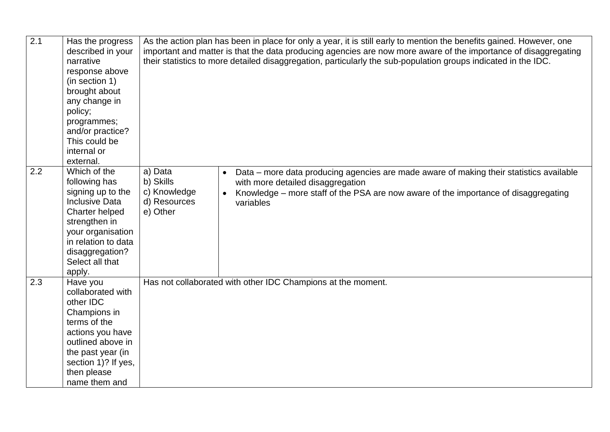| $\overline{2.1}$ | Has the progress<br>described in your<br>narrative<br>response above<br>(in section 1)<br>brought about<br>any change in<br>policy;<br>programmes;<br>and/or practice?                                     | As the action plan has been in place for only a year, it is still early to mention the benefits gained. However, one<br>important and matter is that the data producing agencies are now more aware of the importance of disaggregating<br>their statistics to more detailed disaggregation, particularly the sub-population groups indicated in the IDC. |                                                                                                                                                                                                                                               |
|------------------|------------------------------------------------------------------------------------------------------------------------------------------------------------------------------------------------------------|-----------------------------------------------------------------------------------------------------------------------------------------------------------------------------------------------------------------------------------------------------------------------------------------------------------------------------------------------------------|-----------------------------------------------------------------------------------------------------------------------------------------------------------------------------------------------------------------------------------------------|
|                  | This could be<br>internal or<br>external.                                                                                                                                                                  |                                                                                                                                                                                                                                                                                                                                                           |                                                                                                                                                                                                                                               |
| 2.2              | Which of the<br>following has<br>signing up to the<br><b>Inclusive Data</b><br>Charter helped<br>strengthen in<br>your organisation<br>in relation to data<br>disaggregation?<br>Select all that<br>apply. | a) Data<br>b) Skills<br>c) Knowledge<br>d) Resources<br>e) Other                                                                                                                                                                                                                                                                                          | Data – more data producing agencies are made aware of making their statistics available<br>with more detailed disaggregation<br>Knowledge – more staff of the PSA are now aware of the importance of disaggregating<br>$\bullet$<br>variables |
| 2.3              | Have you<br>collaborated with<br>other IDC<br>Champions in<br>terms of the<br>actions you have<br>outlined above in<br>the past year (in<br>section 1)? If yes,<br>then please<br>name them and            |                                                                                                                                                                                                                                                                                                                                                           | Has not collaborated with other IDC Champions at the moment.                                                                                                                                                                                  |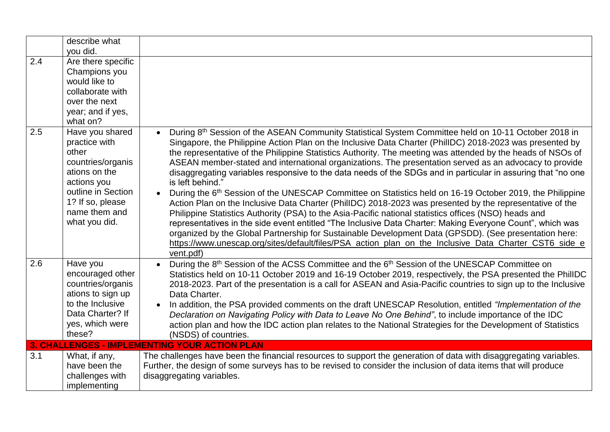|                  | describe what<br>vou did.                                                                                                                                                  |                                                                                                                                                                                                                                                                                                                                                                                                                                                                                                                                                                                                                                                                                                                                                                                                                                                                                                                                                                                                                                                                                                                                                                                                                                                                                    |
|------------------|----------------------------------------------------------------------------------------------------------------------------------------------------------------------------|------------------------------------------------------------------------------------------------------------------------------------------------------------------------------------------------------------------------------------------------------------------------------------------------------------------------------------------------------------------------------------------------------------------------------------------------------------------------------------------------------------------------------------------------------------------------------------------------------------------------------------------------------------------------------------------------------------------------------------------------------------------------------------------------------------------------------------------------------------------------------------------------------------------------------------------------------------------------------------------------------------------------------------------------------------------------------------------------------------------------------------------------------------------------------------------------------------------------------------------------------------------------------------|
| $\overline{2.4}$ | Are there specific<br>Champions you<br>would like to<br>collaborate with<br>over the next<br>year; and if yes,<br>what on?                                                 |                                                                                                                                                                                                                                                                                                                                                                                                                                                                                                                                                                                                                                                                                                                                                                                                                                                                                                                                                                                                                                                                                                                                                                                                                                                                                    |
| 2.5              | Have you shared<br>practice with<br>other<br>countries/organis<br>ations on the<br>actions you<br>outline in Section<br>1? If so, please<br>name them and<br>what you did. | During 8 <sup>th</sup> Session of the ASEAN Community Statistical System Committee held on 10-11 October 2018 in<br>Singapore, the Philippine Action Plan on the Inclusive Data Charter (PhilIDC) 2018-2023 was presented by<br>the representative of the Philippine Statistics Authority. The meeting was attended by the heads of NSOs of<br>ASEAN member-stated and international organizations. The presentation served as an advocacy to provide<br>disaggregating variables responsive to the data needs of the SDGs and in particular in assuring that "no one<br>is left behind."<br>During the 6 <sup>th</sup> Session of the UNESCAP Committee on Statistics held on 16-19 October 2019, the Philippine<br>Action Plan on the Inclusive Data Charter (PhilIDC) 2018-2023 was presented by the representative of the<br>Philippine Statistics Authority (PSA) to the Asia-Pacific national statistics offices (NSO) heads and<br>representatives in the side event entitled "The Inclusive Data Charter: Making Everyone Count", which was<br>organized by the Global Partnership for Sustainable Development Data (GPSDD). (See presentation here:<br>https://www.unescap.org/sites/default/files/PSA_action_plan_on_the_Inclusive_Data_Charter_CST6_side_e<br>vent.pdf) |
| 2.6              | Have you<br>encouraged other<br>countries/organis<br>ations to sign up<br>to the Inclusive<br>Data Charter? If<br>yes, which were<br>these?                                | During the 8 <sup>th</sup> Session of the ACSS Committee and the 6 <sup>th</sup> Session of the UNESCAP Committee on<br>Statistics held on 10-11 October 2019 and 16-19 October 2019, respectively, the PSA presented the PhillDC<br>2018-2023. Part of the presentation is a call for ASEAN and Asia-Pacific countries to sign up to the Inclusive<br>Data Charter.<br>In addition, the PSA provided comments on the draft UNESCAP Resolution, entitled "Implementation of the<br>Declaration on Navigating Policy with Data to Leave No One Behind", to include importance of the IDC<br>action plan and how the IDC action plan relates to the National Strategies for the Development of Statistics<br>(NSDS) of countries.                                                                                                                                                                                                                                                                                                                                                                                                                                                                                                                                                    |
|                  |                                                                                                                                                                            | <b>3. CHALLENGES - IMPLEMENTING YOUR ACTION PLAN</b>                                                                                                                                                                                                                                                                                                                                                                                                                                                                                                                                                                                                                                                                                                                                                                                                                                                                                                                                                                                                                                                                                                                                                                                                                               |
| 3.1              | What, if any,<br>have been the<br>challenges with<br>implementing                                                                                                          | The challenges have been the financial resources to support the generation of data with disaggregating variables.<br>Further, the design of some surveys has to be revised to consider the inclusion of data items that will produce<br>disaggregating variables.                                                                                                                                                                                                                                                                                                                                                                                                                                                                                                                                                                                                                                                                                                                                                                                                                                                                                                                                                                                                                  |